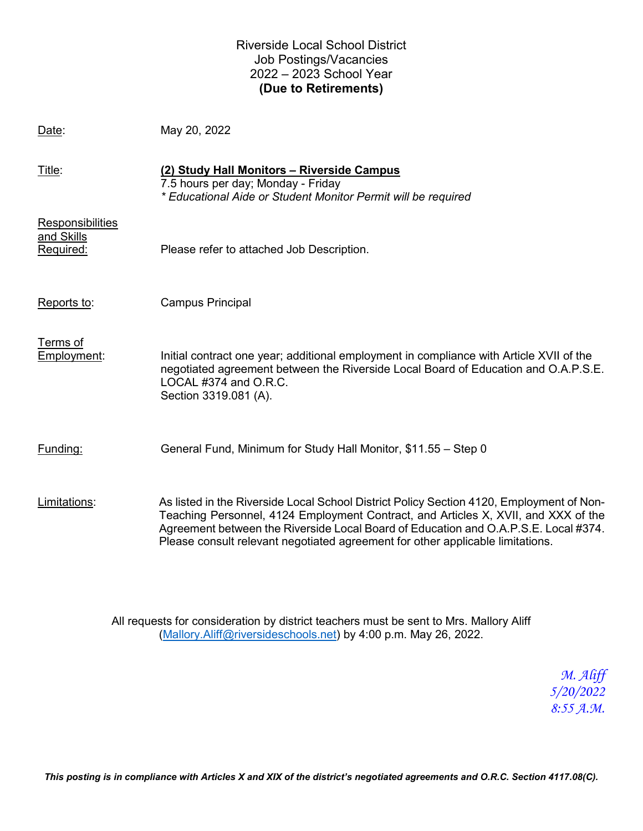### Riverside Local School District Job Postings/Vacancies 2022 – 2023 School Year **(Due to Retirements)**

Date: May 20, 2022

| Title:                                      | (2) Study Hall Monitors - Riverside Campus<br>7.5 hours per day; Monday - Friday<br>* Educational Aide or Student Monitor Permit will be required                                                                                                                                                                                                       |
|---------------------------------------------|---------------------------------------------------------------------------------------------------------------------------------------------------------------------------------------------------------------------------------------------------------------------------------------------------------------------------------------------------------|
| Responsibilities<br>and Skills<br>Required: | Please refer to attached Job Description.                                                                                                                                                                                                                                                                                                               |
| Reports to:                                 | Campus Principal                                                                                                                                                                                                                                                                                                                                        |
| Terms of<br>Employment:                     | Initial contract one year; additional employment in compliance with Article XVII of the<br>negotiated agreement between the Riverside Local Board of Education and O.A.P.S.E.<br>LOCAL #374 and O.R.C.<br>Section 3319.081 (A).                                                                                                                         |
| Funding:                                    | General Fund, Minimum for Study Hall Monitor, \$11.55 - Step 0                                                                                                                                                                                                                                                                                          |
| Limitations:                                | As listed in the Riverside Local School District Policy Section 4120, Employment of Non-<br>Teaching Personnel, 4124 Employment Contract, and Articles X, XVII, and XXX of the<br>Agreement between the Riverside Local Board of Education and O.A.P.S.E. Local #374.<br>Please consult relevant negotiated agreement for other applicable limitations. |

All requests for consideration by district teachers must be sent to Mrs. Mallory Aliff [\(Mallory.Aliff@riversideschools.net\)](mailto:Mallory.Aliff@riversideschools.net) by 4:00 p.m. May 26, 2022.

> *M. Aliff 5/20/2022 8:55 A.M.*